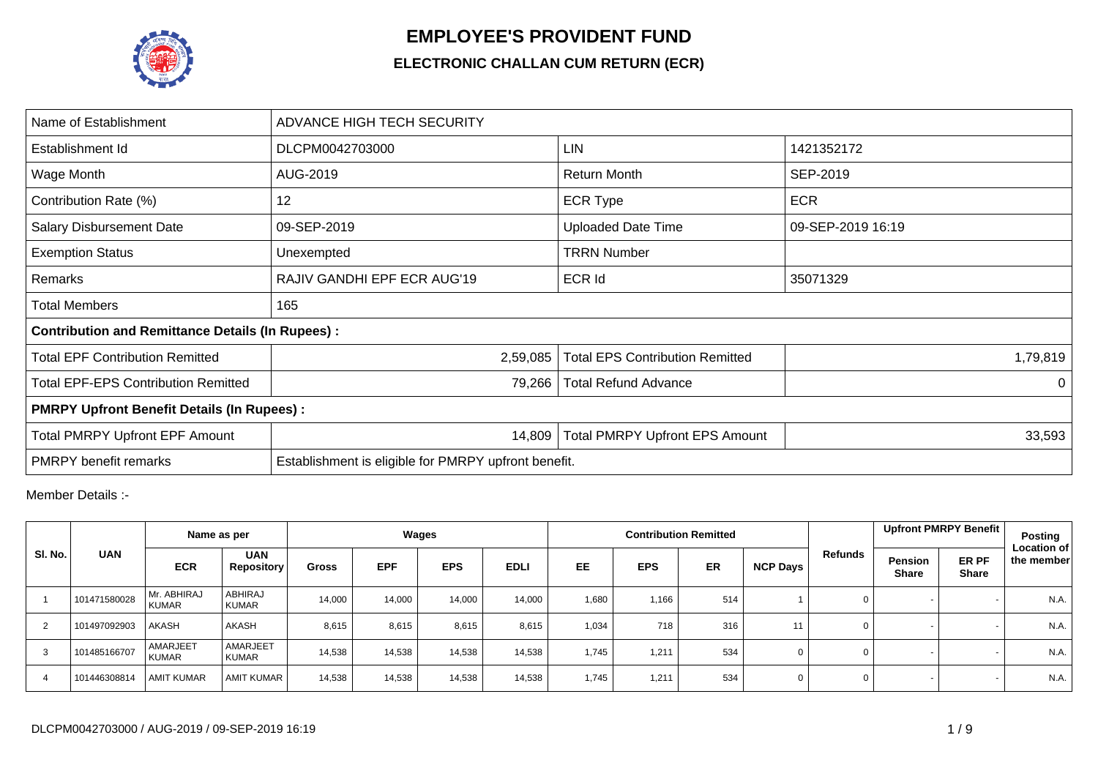

## **EMPLOYEE'S PROVIDENT FUND**

## **ELECTRONIC CHALLAN CUM RETURN (ECR)**

| Name of Establishment                                   | ADVANCE HIGH TECH SECURITY                      |                                                                |                   |  |  |  |  |  |  |  |  |  |
|---------------------------------------------------------|-------------------------------------------------|----------------------------------------------------------------|-------------------|--|--|--|--|--|--|--|--|--|
| Establishment Id                                        | DLCPM0042703000                                 | LIN                                                            | 1421352172        |  |  |  |  |  |  |  |  |  |
| Wage Month                                              | AUG-2019                                        | <b>Return Month</b>                                            | SEP-2019          |  |  |  |  |  |  |  |  |  |
| Contribution Rate (%)                                   | 12                                              | <b>ECR Type</b>                                                | <b>ECR</b>        |  |  |  |  |  |  |  |  |  |
| <b>Salary Disbursement Date</b>                         | 09-SEP-2019                                     | <b>Uploaded Date Time</b>                                      | 09-SEP-2019 16:19 |  |  |  |  |  |  |  |  |  |
| <b>Exemption Status</b>                                 | Unexempted                                      | <b>TRRN Number</b>                                             |                   |  |  |  |  |  |  |  |  |  |
| Remarks                                                 | RAJIV GANDHI EPF ECR AUG'19                     | <b>ECR Id</b>                                                  | 35071329          |  |  |  |  |  |  |  |  |  |
| <b>Total Members</b>                                    | 165                                             |                                                                |                   |  |  |  |  |  |  |  |  |  |
| <b>Contribution and Remittance Details (In Rupees):</b> |                                                 |                                                                |                   |  |  |  |  |  |  |  |  |  |
| <b>Total EPF Contribution Remitted</b>                  | 2,59,085                                        | <b>Total EPS Contribution Remitted</b>                         | 1,79,819          |  |  |  |  |  |  |  |  |  |
| <b>Total EPF-EPS Contribution Remitted</b>              | 79,266                                          | <b>Total Refund Advance</b>                                    | $\Omega$          |  |  |  |  |  |  |  |  |  |
| <b>PMRPY Upfront Benefit Details (In Rupees):</b>       |                                                 |                                                                |                   |  |  |  |  |  |  |  |  |  |
| <b>Total PMRPY Upfront EPF Amount</b>                   | 14,809<br><b>Total PMRPY Upfront EPS Amount</b> |                                                                |                   |  |  |  |  |  |  |  |  |  |
| <b>PMRPY</b> benefit remarks                            |                                                 | 33,593<br>Establishment is eligible for PMRPY upfront benefit. |                   |  |  |  |  |  |  |  |  |  |

Member Details :-

|         |              | Name as per                 |                                 |              | Wages      |            |             |       |            | <b>Contribution Remitted</b> |                 |          |                                | Upfront PMRPY Benefit | Posting                          |
|---------|--------------|-----------------------------|---------------------------------|--------------|------------|------------|-------------|-------|------------|------------------------------|-----------------|----------|--------------------------------|-----------------------|----------------------------------|
| SI. No. | <b>UAN</b>   | <b>ECR</b>                  | <b>UAN</b><br><b>Repository</b> | <b>Gross</b> | <b>EPF</b> | <b>EPS</b> | <b>EDLI</b> | EE    | <b>EPS</b> | ER                           | <b>NCP Days</b> | Refunds  | <b>Pension</b><br><b>Share</b> | ER PF<br><b>Share</b> | <b>Location of</b><br>the member |
|         | 101471580028 | Mr. ABHIRAJ<br><b>KUMAR</b> | ABHIRAJ<br><b>KUMAR</b>         | 14,000       | 14,000     | 14,000     | 14.000      | 1,680 | 1,166      | 514                          |                 | 0        |                                |                       | N.A.                             |
|         | 101497092903 | <b>AKASH</b>                | <b>AKASH</b>                    | 8,615        | 8,615      | 8,615      | 8,615       | 1,034 | 718        | 316                          | 11              | 0        |                                |                       | N.A.                             |
| 3       | 101485166707 | AMARJEET<br><b>KUMAR</b>    | <b>AMARJEET</b><br><b>KUMAR</b> | 14,538       | 14,538     | 14,538     | 14,538      | 1,745 | 1,211      | 534                          | $\Omega$        | 0        |                                |                       | N.A.                             |
|         | 101446308814 | <b>AMIT KUMAR</b>           | <b>AMIT KUMAR</b>               | 14,538       | 14,538     | 14,538     | 14,538      | 1,745 | 1,211      | 534                          | $\Omega$        | $\Omega$ |                                |                       | N.A.                             |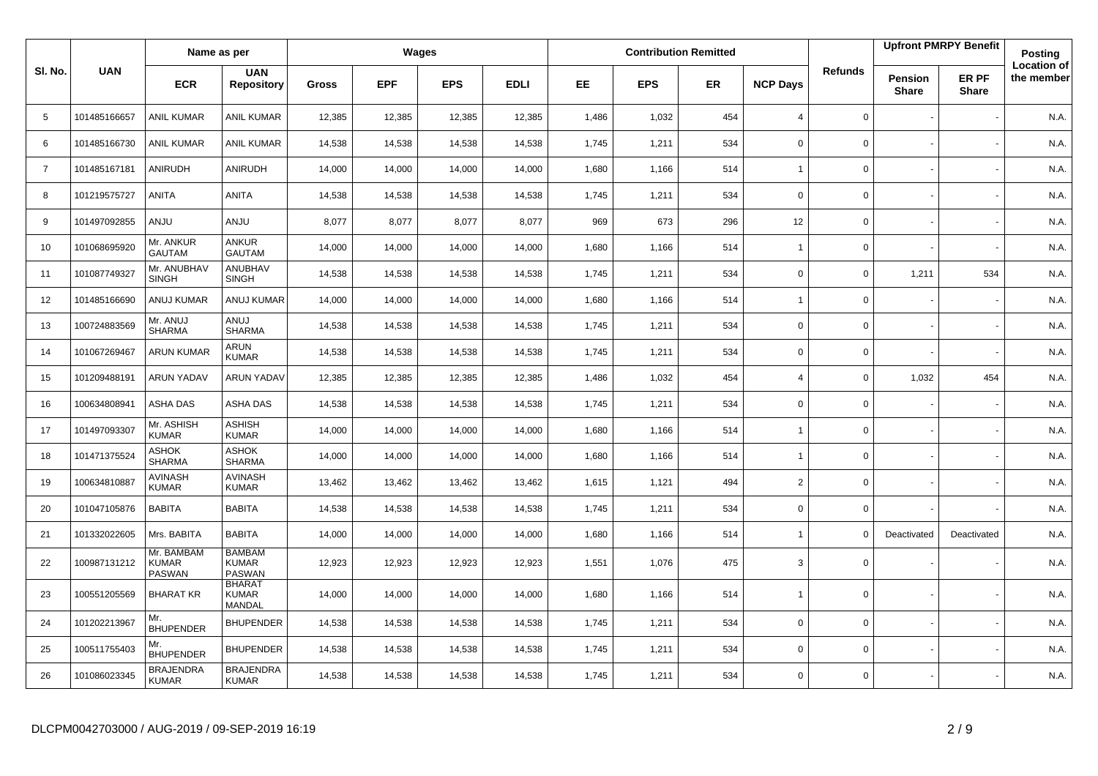|                |              | Name as per                                 |                                                |        |            | Wages      |             |           |            | <b>Contribution Remitted</b> |                          |                |                                | <b>Upfront PMRPY Benefit</b> | Posting                          |
|----------------|--------------|---------------------------------------------|------------------------------------------------|--------|------------|------------|-------------|-----------|------------|------------------------------|--------------------------|----------------|--------------------------------|------------------------------|----------------------------------|
| SI. No.        | <b>UAN</b>   | <b>ECR</b>                                  | <b>UAN</b><br><b>Repository</b>                | Gross  | <b>EPF</b> | <b>EPS</b> | <b>EDLI</b> | <b>EE</b> | <b>EPS</b> | <b>ER</b>                    | <b>NCP Days</b>          | <b>Refunds</b> | <b>Pension</b><br><b>Share</b> | ER PF<br><b>Share</b>        | <b>Location of</b><br>the member |
| 5              | 101485166657 | <b>ANIL KUMAR</b>                           | ANIL KUMAR                                     | 12,385 | 12,385     | 12,385     | 12,385      | 1,486     | 1,032      | 454                          | $\overline{4}$           | $\mathbf 0$    |                                |                              | N.A.                             |
| 6              | 101485166730 | <b>ANIL KUMAR</b>                           | <b>ANIL KUMAR</b>                              | 14,538 | 14,538     | 14,538     | 14,538      | 1,745     | 1,211      | 534                          | $\mathbf 0$              | 0              |                                |                              | N.A.                             |
| $\overline{7}$ | 101485167181 | ANIRUDH                                     | ANIRUDH                                        | 14,000 | 14,000     | 14,000     | 14,000      | 1,680     | 1,166      | 514                          | $\overline{1}$           | 0              |                                |                              | N.A.                             |
| 8              | 101219575727 | <b>ANITA</b>                                | ANITA                                          | 14,538 | 14,538     | 14,538     | 14,538      | 1,745     | 1,211      | 534                          | $\mathbf 0$              | 0              |                                |                              | N.A.                             |
| 9              | 101497092855 | <b>ANJU</b>                                 | <b>ANJU</b>                                    | 8,077  | 8,077      | 8,077      | 8,077       | 969       | 673        | 296                          | 12                       | 0              |                                |                              | N.A.                             |
| 10             | 101068695920 | Mr. ANKUR<br><b>GAUTAM</b>                  | ANKUR<br><b>GAUTAM</b>                         | 14,000 | 14,000     | 14,000     | 14,000      | 1,680     | 1.166      | 514                          | $\overline{1}$           | 0              |                                |                              | N.A.                             |
| 11             | 101087749327 | Mr. ANUBHAV<br><b>SINGH</b>                 | ANUBHAV<br><b>SINGH</b>                        | 14,538 | 14,538     | 14,538     | 14,538      | 1,745     | 1,211      | 534                          | $\mathbf 0$              | 0              | 1,211                          | 534                          | N.A.                             |
| 12             | 101485166690 | <b>ANUJ KUMAR</b>                           | <b>ANUJ KUMAR</b>                              | 14,000 | 14,000     | 14,000     | 14,000      | 1,680     | 1.166      | 514                          | $\overline{1}$           | 0              |                                |                              | N.A.                             |
| 13             | 100724883569 | Mr. ANUJ<br><b>SHARMA</b>                   | <b>ANUJ</b><br><b>SHARMA</b>                   | 14,538 | 14,538     | 14,538     | 14,538      | 1,745     | 1,211      | 534                          | $\mathsf 0$              | 0              |                                |                              | N.A.                             |
| 14             | 101067269467 | <b>ARUN KUMAR</b>                           | ARUN<br><b>KUMAR</b>                           | 14,538 | 14,538     | 14,538     | 14,538      | 1,745     | 1.211      | 534                          | $\mathbf 0$              | 0              |                                |                              | N.A.                             |
| 15             | 101209488191 | <b>ARUN YADAV</b>                           | <b>ARUN YADAV</b>                              | 12,385 | 12,385     | 12,385     | 12,385      | 1,486     | 1,032      | 454                          | $\overline{4}$           | 0              | 1,032                          | 454                          | N.A.                             |
| 16             | 100634808941 | ASHA DAS                                    | ASHA DAS                                       | 14,538 | 14,538     | 14,538     | 14,538      | 1,745     | 1,211      | 534                          | $\mathbf 0$              | 0              |                                |                              | N.A.                             |
| 17             | 101497093307 | Mr. ASHISH<br><b>KUMAR</b>                  | ASHISH<br><b>KUMAR</b>                         | 14,000 | 14,000     | 14,000     | 14,000      | 1,680     | 1,166      | 514                          | $\overline{\phantom{a}}$ | 0              |                                |                              | N.A.                             |
| 18             | 101471375524 | ASHOK<br><b>SHARMA</b>                      | <b>ASHOK</b><br><b>SHARMA</b>                  | 14,000 | 14,000     | 14,000     | 14,000      | 1,680     | 1,166      | 514                          | $\overline{1}$           | $\mathbf{0}$   |                                |                              | N.A.                             |
| 19             | 100634810887 | <b>AVINASH</b><br><b>KUMAR</b>              | <b>AVINASH</b><br><b>KUMAR</b>                 | 13,462 | 13,462     | 13,462     | 13,462      | 1,615     | 1,121      | 494                          | 2                        | 0              |                                |                              | N.A.                             |
| 20             | 101047105876 | <b>BABITA</b>                               | <b>BABITA</b>                                  | 14,538 | 14,538     | 14,538     | 14,538      | 1,745     | 1,211      | 534                          | $\mathbf 0$              | $\mathbf{0}$   |                                |                              | N.A.                             |
| 21             | 101332022605 | Mrs. BABITA                                 | <b>BABITA</b>                                  | 14,000 | 14,000     | 14,000     | 14,000      | 1,680     | 1,166      | 514                          | $\overline{1}$           | 0              | Deactivated                    | Deactivated                  | N.A.                             |
| 22             | 100987131212 | Mr. BAMBAM<br><b>KUMAR</b><br><b>PASWAN</b> | <b>BAMBAM</b><br><b>KUMAR</b><br><b>PASWAN</b> | 12,923 | 12,923     | 12,923     | 12,923      | 1,551     | 1,076      | 475                          | 3                        | 0              |                                |                              | N.A.                             |
| 23             | 100551205569 | <b>BHARAT KR</b>                            | <b>BHARAT</b><br><b>KUMAR</b><br><b>MANDAL</b> | 14,000 | 14,000     | 14,000     | 14,000      | 1,680     | 1,166      | 514                          | $\overline{1}$           | $\mathbf{0}$   |                                |                              | N.A.                             |
| 24             | 101202213967 | Mr.<br><b>BHUPENDER</b>                     | <b>BHUPENDER</b>                               | 14,538 | 14,538     | 14,538     | 14,538      | 1,745     | 1,211      | 534                          | $\mathbf 0$              | $\mathbf{0}$   |                                |                              | N.A.                             |
| 25             | 100511755403 | Mr.<br><b>BHUPENDER</b>                     | <b>BHUPENDER</b>                               | 14,538 | 14,538     | 14,538     | 14,538      | 1,745     | 1,211      | 534                          | $\mathbf 0$              | 0              |                                |                              | N.A.                             |
| 26             | 101086023345 | <b>BRAJENDRA</b><br><b>KUMAR</b>            | <b>BRAJENDRA</b><br><b>KUMAR</b>               | 14,538 | 14,538     | 14,538     | 14,538      | 1,745     | 1,211      | 534                          | $\Omega$                 | $\mathbf{0}$   |                                |                              | N.A.                             |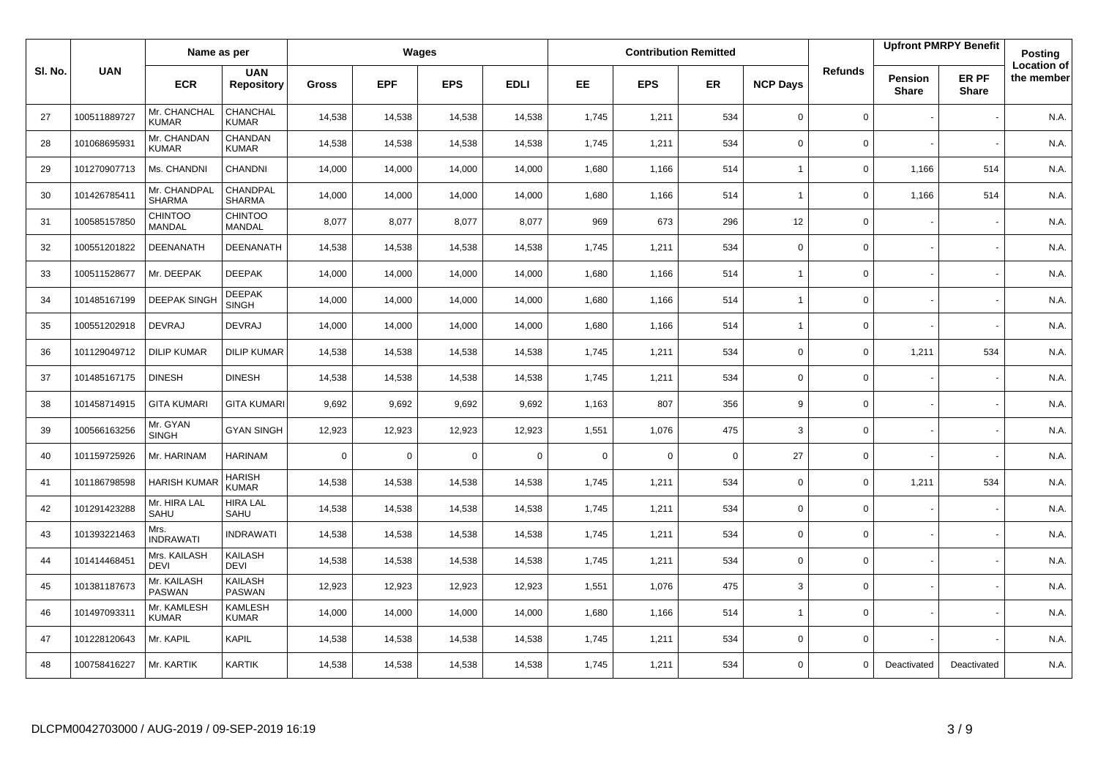|        |              | Name as per                     |                                 |              |             | Wages      |             |             |            | <b>Contribution Remitted</b> |                 |                |                         | <b>Upfront PMRPY Benefit</b> | Posting                          |
|--------|--------------|---------------------------------|---------------------------------|--------------|-------------|------------|-------------|-------------|------------|------------------------------|-----------------|----------------|-------------------------|------------------------------|----------------------------------|
| SI. No | <b>UAN</b>   | <b>ECR</b>                      | <b>UAN</b><br><b>Repository</b> | <b>Gross</b> | <b>EPF</b>  | <b>EPS</b> | <b>EDLI</b> | <b>EE</b>   | <b>EPS</b> | <b>ER</b>                    | <b>NCP Days</b> | <b>Refunds</b> | Pension<br><b>Share</b> | ER PF<br><b>Share</b>        | <b>Location of</b><br>the member |
| 27     | 100511889727 | Mr. CHANCHAL<br><b>KUMAR</b>    | CHANCHAL<br><b>KUMAR</b>        | 14,538       | 14,538      | 14,538     | 14,538      | 1,745       | 1,211      | 534                          | $\mathbf 0$     | 0              |                         |                              | N.A.                             |
| 28     | 101068695931 | Mr. CHANDAN<br><b>KUMAR</b>     | CHANDAN<br><b>KUMAR</b>         | 14,538       | 14,538      | 14,538     | 14,538      | 1,745       | 1,211      | 534                          | $\mathbf 0$     | $\mathbf{0}$   |                         |                              | N.A.                             |
| 29     | 101270907713 | Ms. CHANDNI                     | CHANDNI                         | 14,000       | 14,000      | 14,000     | 14,000      | 1,680       | 1,166      | 514                          | $\overline{1}$  | $\mathbf{0}$   | 1,166                   | 514                          | N.A.                             |
| 30     | 101426785411 | Mr. CHANDPAL<br><b>SHARMA</b>   | CHANDPAL<br><b>SHARMA</b>       | 14,000       | 14,000      | 14,000     | 14,000      | 1,680       | 1,166      | 514                          | $\overline{1}$  | 0              | 1,166                   | 514                          | N.A.                             |
| 31     | 100585157850 | <b>CHINTOO</b><br><b>MANDAL</b> | <b>CHINTOO</b><br>MANDAL        | 8,077        | 8,077       | 8,077      | 8,077       | 969         | 673        | 296                          | 12              | $\mathbf{0}$   |                         |                              | N.A.                             |
| 32     | 100551201822 | DEENANATH                       | <b>DEENANATH</b>                | 14,538       | 14,538      | 14,538     | 14,538      | 1,745       | 1,211      | 534                          | 0               | 0              |                         |                              | N.A.                             |
| 33     | 100511528677 | Mr. DEEPAK                      | <b>DEEPAK</b>                   | 14,000       | 14,000      | 14,000     | 14,000      | 1,680       | 1,166      | 514                          | $\overline{1}$  | 0              |                         |                              | N.A.                             |
| 34     | 101485167199 | <b>DEEPAK SINGH</b>             | <b>DEEPAK</b><br><b>SINGH</b>   | 14,000       | 14,000      | 14,000     | 14,000      | 1,680       | 1,166      | 514                          | $\overline{1}$  | $\mathbf 0$    |                         |                              | N.A.                             |
| 35     | 100551202918 | <b>DEVRAJ</b>                   | <b>DEVRAJ</b>                   | 14,000       | 14,000      | 14,000     | 14,000      | 1,680       | 1,166      | 514                          | $\overline{1}$  | 0              |                         |                              | N.A.                             |
| 36     | 101129049712 | <b>DILIP KUMAR</b>              | <b>DILIP KUMAR</b>              | 14,538       | 14,538      | 14,538     | 14,538      | 1,745       | 1,211      | 534                          | $\mathbf 0$     | 0              | 1,211                   | 534                          | N.A.                             |
| 37     | 101485167175 | <b>DINESH</b>                   | <b>DINESH</b>                   | 14,538       | 14,538      | 14,538     | 14,538      | 1,745       | 1,211      | 534                          | $\mathbf 0$     | 0              |                         |                              | N.A.                             |
| 38     | 101458714915 | <b>GITA KUMARI</b>              | <b>GITA KUMARI</b>              | 9,692        | 9,692       | 9,692      | 9,692       | 1,163       | 807        | 356                          | 9               | 0              |                         |                              | N.A.                             |
| 39     | 100566163256 | Mr. GYAN<br><b>SINGH</b>        | <b>GYAN SINGH</b>               | 12,923       | 12,923      | 12,923     | 12,923      | 1,551       | 1,076      | 475                          | $\mathbf{3}$    | 0              |                         |                              | N.A.                             |
| 40     | 101159725926 | Mr. HARINAM                     | <b>HARINAM</b>                  | $\mathbf 0$  | $\mathbf 0$ | $\Omega$   | $\mathbf 0$ | $\mathbf 0$ | $\Omega$   | $\mathbf 0$                  | 27              | $\mathbf 0$    |                         |                              | N.A.                             |
| 41     | 101186798598 | <b>HARISH KUMA</b>              | HARISH<br><b>KUMAR</b>          | 14,538       | 14,538      | 14,538     | 14,538      | 1,745       | 1,211      | 534                          | $\mathsf 0$     | $\mathbf 0$    | 1,211                   | 534                          | N.A.                             |
| 42     | 101291423288 | Mr. HIRA LAL<br>SAHU            | <b>HIRA LAL</b><br>SAHU         | 14,538       | 14,538      | 14,538     | 14,538      | 1,745       | 1,211      | 534                          | $\mathbf 0$     | 0              |                         |                              | N.A.                             |
| 43     | 101393221463 | Mrs.<br><b>INDRAWATI</b>        | <b>INDRAWATI</b>                | 14,538       | 14,538      | 14,538     | 14,538      | 1,745       | 1,211      | 534                          | $\mathbf 0$     | 0              |                         |                              | N.A.                             |
| 44     | 101414468451 | Mrs. KAILASH<br><b>DEVI</b>     | KAILASH<br><b>DEVI</b>          | 14,538       | 14,538      | 14,538     | 14,538      | 1,745       | 1,211      | 534                          | $\mathbf 0$     | 0              |                         |                              | N.A.                             |
| 45     | 101381187673 | Mr. KAILASH<br>PASWAN           | KAILASH<br><b>PASWAN</b>        | 12,923       | 12,923      | 12,923     | 12,923      | 1,551       | 1,076      | 475                          | 3               | 0              |                         |                              | N.A.                             |
| 46     | 101497093311 | Mr. KAMLESH<br><b>KUMAR</b>     | KAMLESH<br><b>KUMAR</b>         | 14,000       | 14,000      | 14,000     | 14,000      | 1,680       | 1,166      | 514                          | $\overline{1}$  | $\mathbf 0$    |                         |                              | N.A.                             |
| 47     | 101228120643 | Mr. KAPIL                       | KAPIL                           | 14,538       | 14,538      | 14,538     | 14,538      | 1,745       | 1,211      | 534                          | $\mathbf 0$     | 0              |                         |                              | N.A.                             |
| 48     | 100758416227 | Mr. KARTIK                      | <b>KARTIK</b>                   | 14,538       | 14,538      | 14,538     | 14,538      | 1,745       | 1,211      | 534                          | $\Omega$        | $\Omega$       | Deactivated             | Deactivated                  | N.A.                             |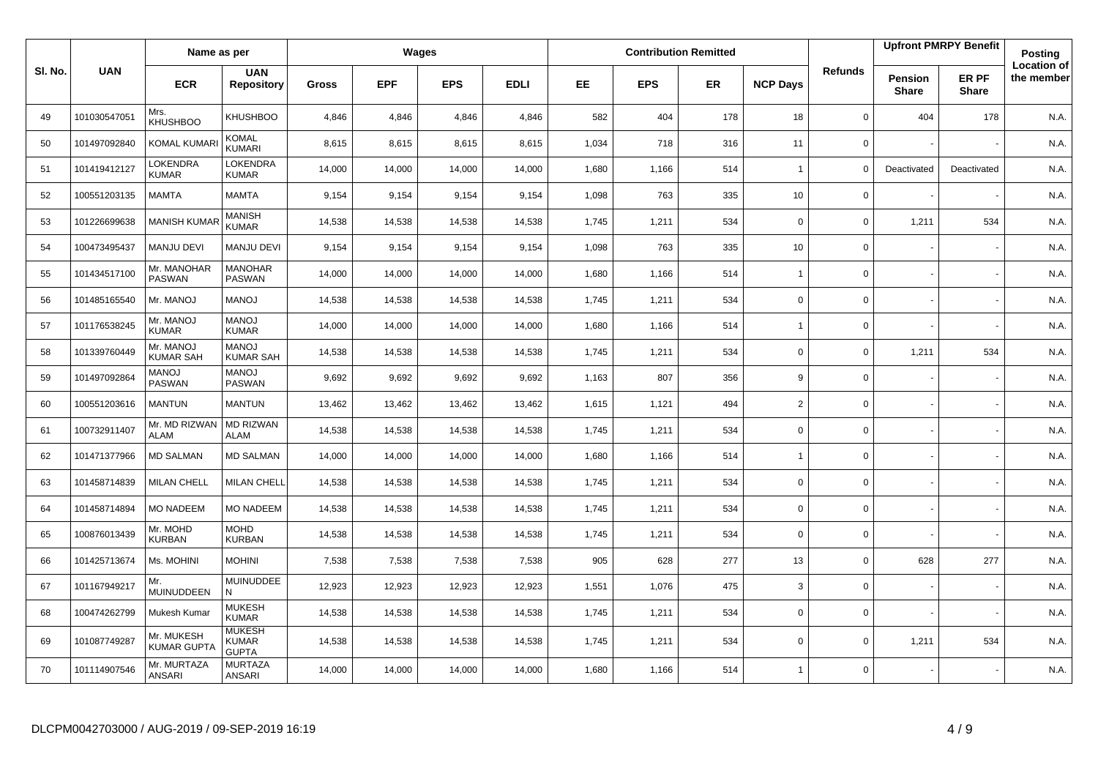|         |              | Name as per                      |                                               |              |            | Wages      |             |       |            | <b>Contribution Remitted</b> |                 |                |                         | <b>Upfront PMRPY Benefit</b> | Posting                          |
|---------|--------------|----------------------------------|-----------------------------------------------|--------------|------------|------------|-------------|-------|------------|------------------------------|-----------------|----------------|-------------------------|------------------------------|----------------------------------|
| SI. No. | <b>UAN</b>   | <b>ECR</b>                       | <b>UAN</b><br><b>Repository</b>               | <b>Gross</b> | <b>EPF</b> | <b>EPS</b> | <b>EDLI</b> | EE    | <b>EPS</b> | <b>ER</b>                    | <b>NCP Days</b> | <b>Refunds</b> | Pension<br><b>Share</b> | ER PF<br><b>Share</b>        | <b>Location of</b><br>the member |
| 49      | 101030547051 | Mrs.<br><b>KHUSHBOO</b>          | KHUSHBOO                                      | 4,846        | 4,846      | 4,846      | 4,846       | 582   | 404        | 178                          | 18              | $\mathbf 0$    | 404                     | 178                          | N.A.                             |
| 50      | 101497092840 | <b>KOMAL KUMAR</b>               | KOMAL<br>KUMARI                               | 8,615        | 8,615      | 8,615      | 8,615       | 1,034 | 718        | 316                          | 11              | 0              |                         |                              | N.A.                             |
| 51      | 101419412127 | LOKENDRA<br><b>KUMAR</b>         | <b>LOKENDRA</b><br><b>KUMAR</b>               | 14,000       | 14,000     | 14,000     | 14,000      | 1,680 | 1,166      | 514                          | $\overline{1}$  | $\mathbf 0$    | Deactivated             | Deactivated                  | N.A.                             |
| 52      | 100551203135 | <b>MAMTA</b>                     | <b>MAMTA</b>                                  | 9,154        | 9,154      | 9,154      | 9,154       | 1,098 | 763        | 335                          | 10              | 0              |                         |                              | N.A.                             |
| 53      | 101226699638 | <b>MANISH KUMA</b>               | MANISH<br><b>KUMAR</b>                        | 14,538       | 14,538     | 14,538     | 14,538      | 1,745 | 1,211      | 534                          | $\mathbf 0$     | 0              | 1,211                   | 534                          | N.A.                             |
| 54      | 100473495437 | <b>MANJU DEVI</b>                | <b>MANJU DEVI</b>                             | 9,154        | 9,154      | 9,154      | 9,154       | 1,098 | 763        | 335                          | 10              | 0              |                         |                              | N.A.                             |
| 55      | 101434517100 | Mr. MANOHAR<br><b>PASWAN</b>     | <b>MANOHAR</b><br><b>PASWAN</b>               | 14,000       | 14,000     | 14,000     | 14,000      | 1,680 | 1,166      | 514                          | $\overline{1}$  | 0              |                         |                              | N.A.                             |
| 56      | 101485165540 | Mr. MANOJ                        | <b>LONAM</b>                                  | 14,538       | 14,538     | 14,538     | 14,538      | 1,745 | 1,211      | 534                          | $\mathbf 0$     | 0              |                         |                              | N.A.                             |
| 57      | 101176538245 | Mr. MANOJ<br><b>KUMAR</b>        | <b>MANOJ</b><br><b>KUMAR</b>                  | 14,000       | 14,000     | 14,000     | 14,000      | 1,680 | 1,166      | 514                          | $\overline{1}$  | 0              |                         |                              | N.A.                             |
| 58      | 101339760449 | Mr. MANOJ<br><b>KUMAR SAH</b>    | <b>LONAM</b><br><b>KUMAR SAH</b>              | 14,538       | 14,538     | 14,538     | 14,538      | 1,745 | 1,211      | 534                          | $\mathbf 0$     | 0              | 1,211                   | 534                          | N.A.                             |
| 59      | 101497092864 | <b>MANOJ</b><br><b>PASWAN</b>    | <b>LONAM</b><br><b>PASWAN</b>                 | 9,692        | 9,692      | 9,692      | 9,692       | 1,163 | 807        | 356                          | 9               | 0              |                         |                              | N.A.                             |
| 60      | 100551203616 | <b>MANTUN</b>                    | <b>MANTUN</b>                                 | 13,462       | 13,462     | 13,462     | 13,462      | 1,615 | 1,121      | 494                          | $\overline{2}$  | 0              |                         |                              | N.A.                             |
| 61      | 100732911407 | Mr. MD RIZWAN<br><b>ALAM</b>     | <b>MD RIZWAN</b><br><b>ALAM</b>               | 14,538       | 14,538     | 14,538     | 14,538      | 1,745 | 1,211      | 534                          | $\mathbf 0$     | 0              |                         |                              | N.A.                             |
| 62      | 101471377966 | <b>MD SALMAN</b>                 | <b>MD SALMAN</b>                              | 14,000       | 14,000     | 14,000     | 14,000      | 1,680 | 1,166      | 514                          | $\overline{1}$  | 0              |                         |                              | N.A.                             |
| 63      | 101458714839 | <b>MILAN CHELL</b>               | <b>MILAN CHELL</b>                            | 14,538       | 14,538     | 14,538     | 14,538      | 1,745 | 1,211      | 534                          | $\mathbf 0$     | 0              |                         |                              | N.A.                             |
| 64      | 101458714894 | <b>MO NADEEM</b>                 | <b>MO NADEEM</b>                              | 14,538       | 14,538     | 14,538     | 14,538      | 1,745 | 1,211      | 534                          | $\mathbf 0$     | 0              |                         |                              | N.A.                             |
| 65      | 100876013439 | Mr. MOHD<br><b>KURBAN</b>        | <b>MOHD</b><br><b>KURBAN</b>                  | 14,538       | 14,538     | 14,538     | 14,538      | 1,745 | 1,211      | 534                          | $\mathbf 0$     | 0              |                         |                              | N.A.                             |
| 66      | 101425713674 | Ms. MOHINI                       | <b>MOHINI</b>                                 | 7,538        | 7,538      | 7,538      | 7,538       | 905   | 628        | 277                          | 13              | 0              | 628                     | 277                          | N.A.                             |
| 67      | 101167949217 | Mr.<br>MUINUDDEEN                | <b>MUINUDDEE</b><br>N                         | 12,923       | 12,923     | 12,923     | 12,923      | 1,551 | 1.076      | 475                          | 3               | 0              |                         |                              | N.A.                             |
| 68      | 100474262799 | Mukesh Kumar                     | <b>MUKESH</b><br><b>KUMAR</b>                 | 14,538       | 14,538     | 14,538     | 14,538      | 1,745 | 1,211      | 534                          | $\mathbf 0$     | 0              |                         |                              | N.A.                             |
| 69      | 101087749287 | Mr. MUKESH<br><b>KUMAR GUPTA</b> | <b>MUKESH</b><br><b>KUMAR</b><br><b>GUPTA</b> | 14,538       | 14,538     | 14,538     | 14,538      | 1,745 | 1,211      | 534                          | $\mathbf 0$     | 0              | 1,211                   | 534                          | N.A.                             |
| 70      | 101114907546 | Mr. MURTAZA<br><b>ANSARI</b>     | <b>MURTAZA</b><br><b>ANSARI</b>               | 14,000       | 14,000     | 14,000     | 14,000      | 1,680 | 1,166      | 514                          | $\overline{1}$  | $\mathbf 0$    |                         |                              | N.A.                             |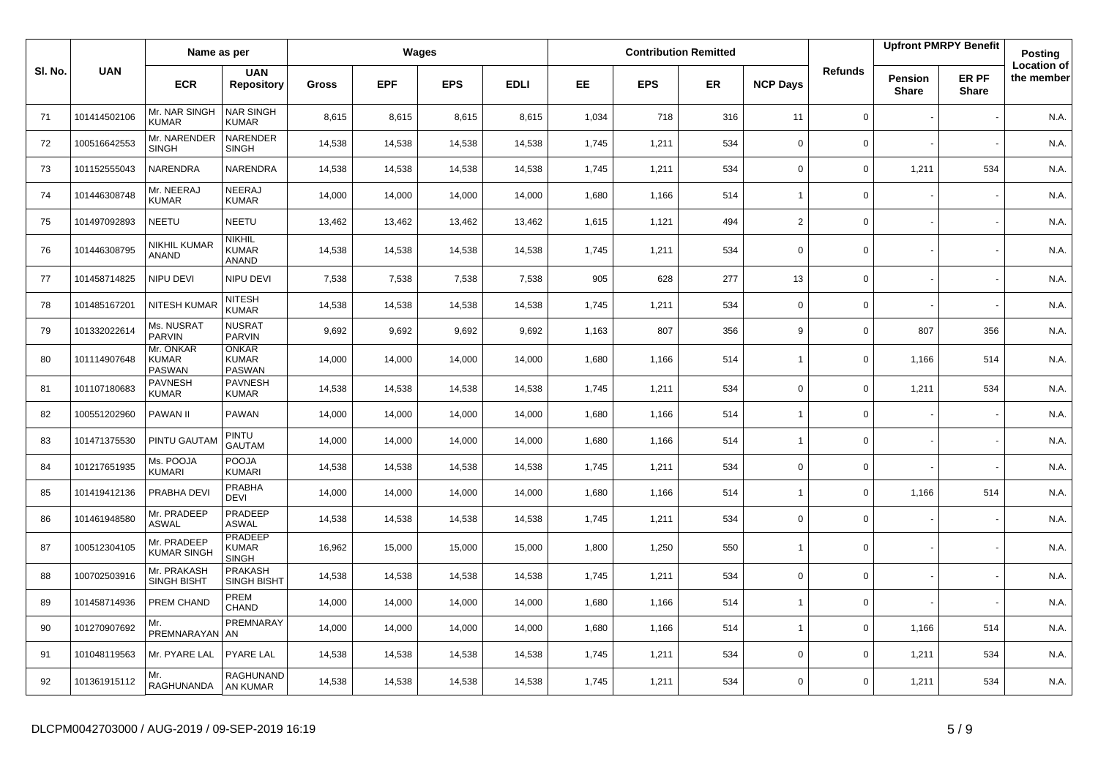|         |              | Name as per                         |                                                |        |            | Wages      |             |           |            | <b>Contribution Remitted</b> |                 |             |                         | <b>Upfront PMRPY Benefit</b> | Posting                          |
|---------|--------------|-------------------------------------|------------------------------------------------|--------|------------|------------|-------------|-----------|------------|------------------------------|-----------------|-------------|-------------------------|------------------------------|----------------------------------|
| SI. No. | <b>UAN</b>   | <b>ECR</b>                          | <b>UAN</b><br><b>Repository</b>                | Gross  | <b>EPF</b> | <b>EPS</b> | <b>EDLI</b> | <b>EE</b> | <b>EPS</b> | <b>ER</b>                    | <b>NCP Days</b> | Refunds     | Pension<br><b>Share</b> | ER PF<br><b>Share</b>        | <b>Location of</b><br>the member |
| 71      | 101414502106 | Mr. NAR SINGH<br><b>KUMAR</b>       | <b>NAR SINGH</b><br>KUMAR                      | 8,615  | 8,615      | 8,615      | 8,615       | 1,034     | 718        | 316                          | 11              | $\mathbf 0$ |                         |                              | N.A.                             |
| 72      | 100516642553 | Mr. NARENDER<br><b>SINGH</b>        | NARENDER<br><b>SINGH</b>                       | 14,538 | 14,538     | 14,538     | 14,538      | 1,745     | 1,211      | 534                          | $\mathbf 0$     | $\mathbf 0$ |                         |                              | N.A.                             |
| 73      | 101152555043 | NARENDRA                            | NARENDRA                                       | 14,538 | 14,538     | 14,538     | 14,538      | 1,745     | 1,211      | 534                          | $\mathbf 0$     | $\mathbf 0$ | 1,211                   | 534                          | N.A.                             |
| 74      | 101446308748 | Mr. NEERAJ<br><b>KUMAR</b>          | <b>NEERAJ</b><br><b>KUMAR</b>                  | 14,000 | 14,000     | 14,000     | 14,000      | 1,680     | 1,166      | 514                          | $\overline{1}$  | $\mathbf 0$ |                         |                              | N.A.                             |
| 75      | 101497092893 | NEETU                               | <b>NEETU</b>                                   | 13,462 | 13,462     | 13,462     | 13,462      | 1,615     | 1,121      | 494                          | $\overline{2}$  | $\mathbf 0$ |                         |                              | N.A.                             |
| 76      | 101446308795 | NIKHIL KUMAR<br>ANAND               | <b>NIKHIL</b><br><b>KUMAR</b><br>ANAND         | 14,538 | 14,538     | 14,538     | 14,538      | 1,745     | 1,211      | 534                          | $\mathbf 0$     | $\mathbf 0$ |                         |                              | N.A.                             |
| 77      | 101458714825 | NIPU DEVI                           | NIPU DEVI                                      | 7,538  | 7,538      | 7,538      | 7,538       | 905       | 628        | 277                          | 13              | $\mathbf 0$ |                         |                              | N.A.                             |
| 78      | 101485167201 | NITESH KUMA                         | <b>NITESH</b><br><b>KUMAR</b>                  | 14,538 | 14,538     | 14,538     | 14,538      | 1,745     | 1,211      | 534                          | $\mathbf 0$     | $\mathbf 0$ |                         |                              | N.A.                             |
| 79      | 101332022614 | Ms. NUSRAT<br>PARVIN                | <b>NUSRAT</b><br><b>PARVIN</b>                 | 9,692  | 9,692      | 9,692      | 9,692       | 1,163     | 807        | 356                          | 9               | $\mathbf 0$ | 807                     | 356                          | N.A.                             |
| 80      | 101114907648 | Mr. ONKAR<br><b>KUMAR</b><br>PASWAN | <b>ONKAR</b><br><b>KUMAR</b><br><b>PASWAN</b>  | 14,000 | 14,000     | 14,000     | 14,000      | 1,680     | 1,166      | 514                          | $\overline{1}$  | 0           | 1,166                   | 514                          | N.A.                             |
| 81      | 101107180683 | <b>PAVNESH</b><br><b>KUMAR</b>      | <b>PAVNESH</b><br><b>KUMAR</b>                 | 14,538 | 14,538     | 14,538     | 14,538      | 1,745     | 1,211      | 534                          | 0               | $\mathbf 0$ | 1,211                   | 534                          | N.A.                             |
| 82      | 100551202960 | PAWAN II                            | PAWAN                                          | 14,000 | 14,000     | 14,000     | 14,000      | 1,680     | 1,166      | 514                          | $\overline{1}$  | $\mathbf 0$ |                         |                              | N.A.                             |
| 83      | 101471375530 | PINTU GAUTAM                        | PINTU<br><b>GAUTAM</b>                         | 14,000 | 14,000     | 14,000     | 14,000      | 1,680     | 1,166      | 514                          | $\overline{1}$  | $\mathbf 0$ |                         |                              | N.A.                             |
| 84      | 101217651935 | Ms. POOJA<br>KUMARI                 | POOJA<br><b>KUMARI</b>                         | 14,538 | 14,538     | 14,538     | 14,538      | 1,745     | 1,211      | 534                          | $\mathbf 0$     | $\mathbf 0$ |                         |                              | N.A.                             |
| 85      | 101419412136 | PRABHA DEV                          | <b>PRABHA</b><br><b>DEVI</b>                   | 14,000 | 14,000     | 14,000     | 14,000      | 1,680     | 1,166      | 514                          | $\overline{1}$  | $\Omega$    | 1,166                   | 514                          | N.A.                             |
| 86      | 101461948580 | Mr. PRADEEP<br><b>ASWAL</b>         | PRADEEP<br><b>ASWAL</b>                        | 14,538 | 14,538     | 14,538     | 14,538      | 1,745     | 1,211      | 534                          | $\mathbf 0$     | $\mathbf 0$ |                         |                              | N.A.                             |
| 87      | 100512304105 | Mr. PRADEEP<br><b>KUMAR SINGH</b>   | <b>PRADEEP</b><br><b>KUMAR</b><br><b>SINGH</b> | 16,962 | 15,000     | 15,000     | 15,000      | 1,800     | 1,250      | 550                          | $\overline{1}$  | $\mathbf 0$ |                         |                              | N.A.                             |
| 88      | 100702503916 | Mr. PRAKASH<br>SINGH BISHT          | PRAKASH<br><b>SINGH BISHT</b>                  | 14,538 | 14,538     | 14,538     | 14,538      | 1,745     | 1,211      | 534                          | $\mathbf 0$     | $\mathbf 0$ |                         |                              | N.A.                             |
| 89      | 101458714936 | PREM CHAND                          | PREM<br>CHAND                                  | 14,000 | 14,000     | 14,000     | 14,000      | 1,680     | 1,166      | 514                          | $\overline{1}$  | $\mathbf 0$ |                         |                              | N.A                              |
| 90      | 101270907692 | Mr.<br>PREMNARAYAN AN               | PREMNARAY                                      | 14,000 | 14,000     | 14,000     | 14,000      | 1,680     | 1,166      | 514                          | $\overline{1}$  | $\mathbf 0$ | 1,166                   | 514                          | N.A.                             |
| 91      | 101048119563 | Mr. PYARE LAL                       | <b>PYARE LAL</b>                               | 14,538 | 14,538     | 14,538     | 14,538      | 1,745     | 1,211      | 534                          | $\Omega$        | $\mathbf 0$ | 1,211                   | 534                          | N.A.                             |
| 92      | 101361915112 | Mr.<br>RAGHUNANDA                   | RAGHUNAND<br>AN KUMAR                          | 14,538 | 14,538     | 14,538     | 14,538      | 1,745     | 1,211      | 534                          | $\Omega$        | $\Omega$    | 1,211                   | 534                          | N.A.                             |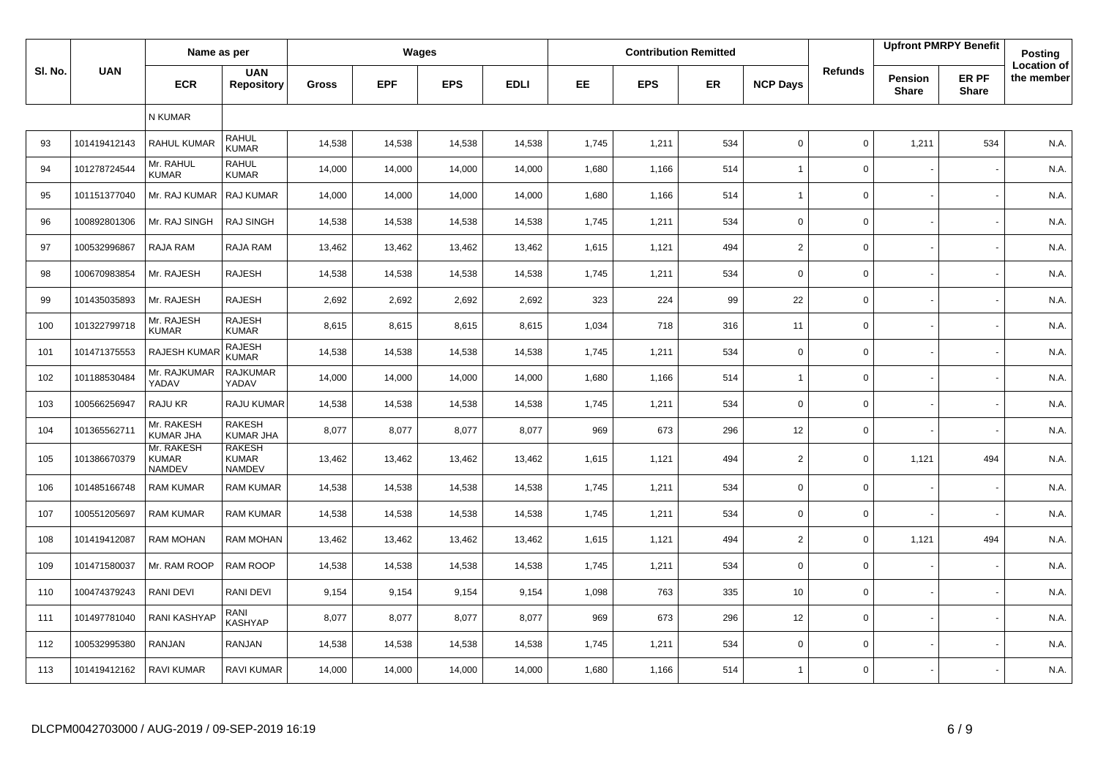|         |              | Name as per                                 |                                                |              |            | Wages      |             |       |            | <b>Contribution Remitted</b> |                 |                |                         | <b>Upfront PMRPY Benefit</b> | Posting                          |
|---------|--------------|---------------------------------------------|------------------------------------------------|--------------|------------|------------|-------------|-------|------------|------------------------------|-----------------|----------------|-------------------------|------------------------------|----------------------------------|
| SI. No. | <b>UAN</b>   | <b>ECR</b>                                  | <b>UAN</b><br><b>Repository</b>                | <b>Gross</b> | <b>EPF</b> | <b>EPS</b> | <b>EDLI</b> | EE.   | <b>EPS</b> | ER                           | <b>NCP Days</b> | <b>Refunds</b> | Pension<br><b>Share</b> | ER PF<br><b>Share</b>        | <b>Location of</b><br>the member |
|         |              | N KUMAR                                     |                                                |              |            |            |             |       |            |                              |                 |                |                         |                              |                                  |
| 93      | 101419412143 | <b>RAHUL KUMAR</b>                          | <b>RAHUL</b><br><b>KUMAR</b>                   | 14,538       | 14,538     | 14,538     | 14,538      | 1,745 | 1,211      | 534                          | $\mathbf 0$     | $\mathbf 0$    | 1,211                   | 534                          | N.A.                             |
| 94      | 101278724544 | Mr. RAHUL<br><b>KUMAR</b>                   | <b>RAHUL</b><br><b>KUMAR</b>                   | 14,000       | 14,000     | 14,000     | 14,000      | 1,680 | 1,166      | 514                          | 1               | $\mathsf 0$    |                         |                              | N.A.                             |
| 95      | 101151377040 | Mr. RAJ KUMAR                               | RAJ KUMAR                                      | 14,000       | 14,000     | 14,000     | 14,000      | 1,680 | 1,166      | 514                          | $\overline{1}$  | $\mathbf 0$    |                         |                              | N.A.                             |
| 96      | 100892801306 | Mr. RAJ SINGH                               | <b>RAJ SINGH</b>                               | 14,538       | 14,538     | 14,538     | 14,538      | 1,745 | 1,211      | 534                          | $\mathbf 0$     | $\mathsf 0$    |                         |                              | N.A.                             |
| 97      | 100532996867 | RAJA RAM                                    | RAJA RAM                                       | 13,462       | 13,462     | 13,462     | 13,462      | 1,615 | 1,121      | 494                          | $\overline{2}$  | $\mathbf 0$    |                         |                              | N.A.                             |
| 98      | 100670983854 | Mr. RAJESH                                  | <b>RAJESH</b>                                  | 14,538       | 14,538     | 14,538     | 14,538      | 1,745 | 1,211      | 534                          | $\mathbf 0$     | $\mathbf 0$    |                         |                              | N.A.                             |
| 99      | 101435035893 | Mr. RAJESH                                  | <b>RAJESH</b>                                  | 2,692        | 2,692      | 2,692      | 2,692       | 323   | 224        | 99                           | 22              | $\mathbf 0$    |                         |                              | N.A.                             |
| 100     | 101322799718 | Mr. RAJESH<br><b>KUMAR</b>                  | <b>RAJESH</b><br><b>KUMAR</b>                  | 8,615        | 8,615      | 8,615      | 8,615       | 1,034 | 718        | 316                          | 11              | $\mathsf 0$    |                         |                              | N.A.                             |
| 101     | 101471375553 | RAJESH KUMA                                 | <b>RAJESH</b><br><b>KUMAR</b>                  | 14,538       | 14,538     | 14,538     | 14,538      | 1,745 | 1,211      | 534                          | $\mathbf 0$     | $\mathsf 0$    |                         |                              | N.A.                             |
| 102     | 101188530484 | Mr. RAJKUMAR<br>YADAV                       | <b>RAJKUMAR</b><br>YADAV                       | 14,000       | 14,000     | 14,000     | 14,000      | 1,680 | 1,166      | 514                          | $\overline{1}$  | $\mathsf 0$    |                         |                              | N.A.                             |
| 103     | 100566256947 | RAJU KR                                     | RAJU KUMAR                                     | 14,538       | 14,538     | 14,538     | 14,538      | 1,745 | 1,211      | 534                          | $\mathbf 0$     | $\mathsf 0$    |                         |                              | N.A.                             |
| 104     | 101365562711 | Mr. RAKESH<br><b>KUMAR JHA</b>              | <b>RAKESH</b><br><b>KUMAR JHA</b>              | 8,077        | 8,077      | 8,077      | 8,077       | 969   | 673        | 296                          | 12              | $\mathsf 0$    |                         |                              | N.A.                             |
| 105     | 101386670379 | Mr. RAKESH<br><b>KUMAR</b><br><b>NAMDEV</b> | <b>RAKESH</b><br><b>KUMAR</b><br><b>NAMDEV</b> | 13,462       | 13,462     | 13,462     | 13,462      | 1,615 | 1,121      | 494                          | $\overline{2}$  | $\mathbf 0$    | 1,121                   | 494                          | N.A.                             |
| 106     | 101485166748 | <b>RAM KUMAR</b>                            | <b>RAM KUMAR</b>                               | 14,538       | 14,538     | 14,538     | 14,538      | 1,745 | 1,211      | 534                          | $\mathbf 0$     | 0              |                         |                              | N.A.                             |
| 107     | 100551205697 | <b>RAM KUMAR</b>                            | <b>RAM KUMAR</b>                               | 14,538       | 14,538     | 14,538     | 14,538      | 1,745 | 1,211      | 534                          | $\mathbf 0$     | 0              |                         |                              | N.A.                             |
| 108     | 101419412087 | <b>RAM MOHAN</b>                            | <b>RAM MOHAN</b>                               | 13,462       | 13,462     | 13,462     | 13,462      | 1,615 | 1,121      | 494                          | $\overline{2}$  | $\mathbf 0$    | 1,121                   | 494                          | N.A.                             |
| 109     | 101471580037 | Mr. RAM ROOP                                | RAM ROOP                                       | 14,538       | 14,538     | 14,538     | 14,538      | 1,745 | 1,211      | 534                          | $\mathbf 0$     | $\mathbf 0$    |                         |                              | N.A.                             |
| 110     | 100474379243 | RANI DEVI                                   | RANI DEVI                                      | 9,154        | 9,154      | 9,154      | 9,154       | 1,098 | 763        | 335                          | 10              | $\mathbf 0$    |                         |                              | N.A.                             |
| 111     | 101497781040 | RANI KASHYAP                                | RANI<br><b>KASHYAP</b>                         | 8,077        | 8,077      | 8,077      | 8,077       | 969   | 673        | 296                          | 12              | $\mathbf 0$    |                         |                              | N.A.                             |
| 112     | 100532995380 | RANJAN                                      | RANJAN                                         | 14,538       | 14,538     | 14,538     | 14,538      | 1,745 | 1,211      | 534                          | $\mathbf 0$     | $\mathbf 0$    |                         |                              | N.A.                             |
| 113     | 101419412162 | <b>RAVI KUMAR</b>                           | <b>RAVI KUMAR</b>                              | 14,000       | 14,000     | 14,000     | 14,000      | 1,680 | 1,166      | 514                          | 1               | $\mathbf 0$    |                         |                              | N.A.                             |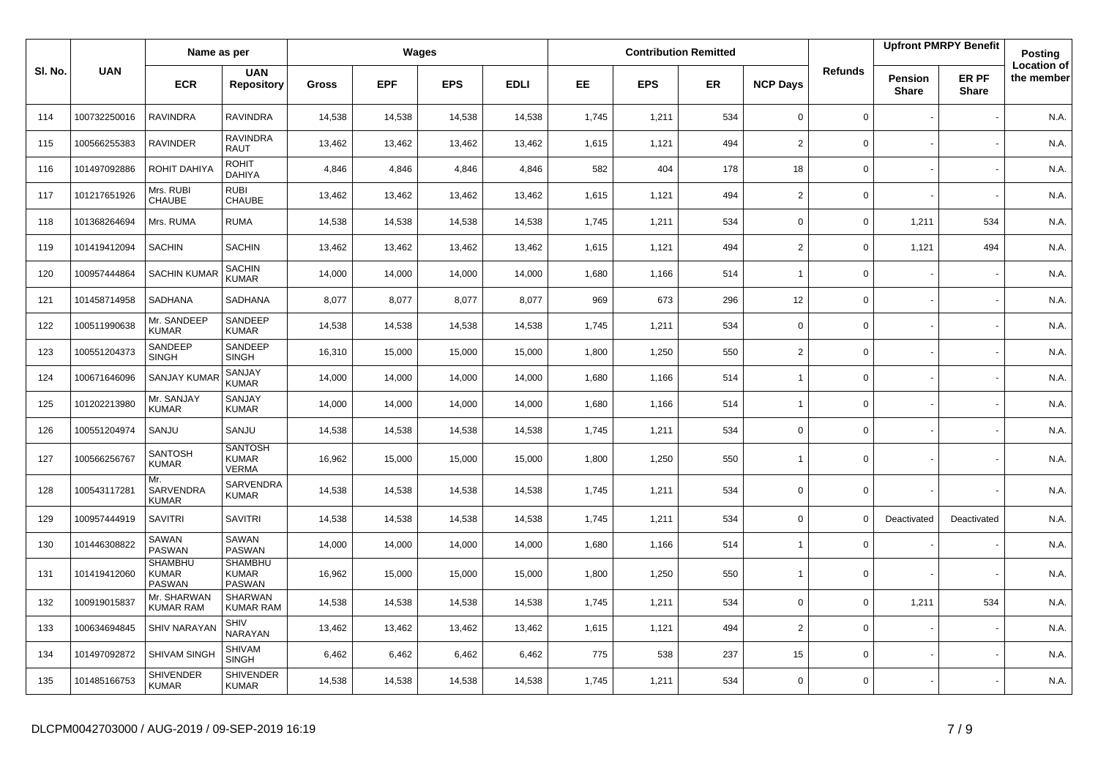|         |              | Name as per                                     |                                                |              |            | Wages      |             |           |            | <b>Contribution Remitted</b> |                 |                |                                | <b>Upfront PMRPY Benefit</b> | <b>Posting</b>                   |
|---------|--------------|-------------------------------------------------|------------------------------------------------|--------------|------------|------------|-------------|-----------|------------|------------------------------|-----------------|----------------|--------------------------------|------------------------------|----------------------------------|
| SI. No. | <b>UAN</b>   | <b>ECR</b>                                      | <b>UAN</b><br><b>Repository</b>                | <b>Gross</b> | <b>EPF</b> | <b>EPS</b> | <b>EDLI</b> | <b>EE</b> | <b>EPS</b> | <b>ER</b>                    | <b>NCP Days</b> | <b>Refunds</b> | <b>Pension</b><br><b>Share</b> | ER PF<br><b>Share</b>        | <b>Location of</b><br>the member |
| 114     | 100732250016 | <b>RAVINDRA</b>                                 | <b>RAVINDRA</b>                                | 14,538       | 14,538     | 14,538     | 14,538      | 1,745     | 1,211      | 534                          | $\mathbf 0$     | $\mathbf 0$    |                                |                              | N.A.                             |
| 115     | 100566255383 | <b>RAVINDER</b>                                 | <b>RAVINDRA</b><br><b>RAUT</b>                 | 13,462       | 13,462     | 13,462     | 13,462      | 1,615     | 1,121      | 494                          | $\overline{2}$  | $\mathbf{0}$   |                                |                              | N.A.                             |
| 116     | 101497092886 | ROHIT DAHIYA                                    | <b>ROHIT</b><br><b>DAHIYA</b>                  | 4,846        | 4,846      | 4,846      | 4,846       | 582       | 404        | 178                          | 18              | 0              |                                |                              | N.A.                             |
| 117     | 101217651926 | Mrs. RUBI<br>CHAUBE                             | <b>RUBI</b><br><b>CHAUBE</b>                   | 13,462       | 13,462     | 13,462     | 13,462      | 1,615     | 1,121      | 494                          | $\overline{2}$  | 0              |                                |                              | N.A.                             |
| 118     | 101368264694 | Mrs. RUMA                                       | <b>RUMA</b>                                    | 14,538       | 14,538     | 14,538     | 14,538      | 1,745     | 1,211      | 534                          | 0               | 0              | 1,211                          | 534                          | N.A.                             |
| 119     | 101419412094 | <b>SACHIN</b>                                   | <b>SACHIN</b>                                  | 13,462       | 13,462     | 13,462     | 13,462      | 1,615     | 1,121      | 494                          | $\overline{2}$  | 0              | 1,121                          | 494                          | N.A.                             |
| 120     | 100957444864 | <b>SACHIN KUMAF</b>                             | SACHIN<br><b>KUMAR</b>                         | 14,000       | 14,000     | 14,000     | 14,000      | 1,680     | 1,166      | 514                          | $\overline{1}$  | 0              |                                |                              | N.A.                             |
| 121     | 101458714958 | SADHANA                                         | SADHANA                                        | 8.077        | 8,077      | 8.077      | 8.077       | 969       | 673        | 296                          | 12              | 0              |                                |                              | N.A.                             |
| 122     | 100511990638 | Mr. SANDEEP<br><b>KUMAR</b>                     | SANDEEP<br><b>KUMAR</b>                        | 14,538       | 14,538     | 14,538     | 14,538      | 1,745     | 1,211      | 534                          | $\mathbf 0$     | $\mathbf 0$    |                                |                              | N.A.                             |
| 123     | 100551204373 | SANDEEP<br><b>SINGH</b>                         | SANDEEP<br><b>SINGH</b>                        | 16,310       | 15,000     | 15,000     | 15,000      | 1,800     | 1,250      | 550                          | $\overline{2}$  | 0              |                                |                              | N.A.                             |
| 124     | 100671646096 | <b>SANJAY KUMA</b>                              | SANJAY<br><b>KUMAR</b>                         | 14,000       | 14,000     | 14,000     | 14,000      | 1,680     | 1,166      | 514                          | $\overline{1}$  | 0              |                                |                              | N.A.                             |
| 125     | 101202213980 | Mr. SANJAY<br><b>KUMAR</b>                      | SANJAY<br><b>KUMAR</b>                         | 14,000       | 14,000     | 14,000     | 14,000      | 1,680     | 1,166      | 514                          | $\overline{1}$  | 0              |                                |                              | N.A.                             |
| 126     | 100551204974 | SANJU                                           | SANJU                                          | 14,538       | 14,538     | 14,538     | 14,538      | 1,745     | 1,211      | 534                          | $\mathbf 0$     | 0              |                                |                              | N.A.                             |
| 127     | 100566256767 | <b>SANTOSH</b><br><b>KUMAR</b>                  | <b>SANTOSH</b><br><b>KUMAR</b><br><b>VERMA</b> | 16,962       | 15,000     | 15,000     | 15,000      | 1,800     | 1,250      | 550                          | $\overline{1}$  | $\mathbf 0$    |                                |                              | N.A.                             |
| 128     | 100543117281 | Mr.<br>SARVENDRA<br><b>KUMAR</b>                | SARVENDRA<br><b>KUMAR</b>                      | 14,538       | 14,538     | 14,538     | 14,538      | 1,745     | 1,211      | 534                          | 0               | 0              |                                |                              | N.A.                             |
| 129     | 100957444919 | <b>SAVITRI</b>                                  | <b>SAVITRI</b>                                 | 14,538       | 14,538     | 14,538     | 14,538      | 1,745     | 1,211      | 534                          | $\mathbf 0$     | $\mathbf 0$    | Deactivated                    | Deactivated                  | N.A.                             |
| 130     | 101446308822 | SAWAN<br><b>PASWAN</b>                          | <b>SAWAN</b><br>PASWAN                         | 14,000       | 14,000     | 14,000     | 14,000      | 1,680     | 1,166      | 514                          | $\overline{1}$  | $\Omega$       |                                |                              | N.A.                             |
| 131     | 101419412060 | <b>SHAMBHU</b><br><b>KUMAR</b><br><b>PASWAN</b> | <b>SHAMBHU</b><br><b>KUMAR</b><br>PASWAN       | 16,962       | 15,000     | 15,000     | 15,000      | 1,800     | 1,250      | 550                          | $\overline{1}$  | 0              |                                |                              | N.A.                             |
| 132     | 100919015837 | Mr. SHARWAN<br><b>KUMAR RAM</b>                 | <b>SHARWAN</b><br><b>KUMAR RAM</b>             | 14,538       | 14,538     | 14,538     | 14,538      | 1,745     | 1,211      | 534                          | $\Omega$        | 0              | 1,211                          | 534                          | N.A.                             |
| 133     | 100634694845 | <b>SHIV NARAYAN</b>                             | <b>SHIV</b><br>NARAYAN                         | 13,462       | 13,462     | 13,462     | 13,462      | 1,615     | 1,121      | 494                          | $\overline{2}$  | 0              |                                |                              | N.A.                             |
| 134     | 101497092872 | SHIVAM SINGH                                    | <b>SHIVAM</b><br><b>SINGH</b>                  | 6,462        | 6,462      | 6,462      | 6,462       | 775       | 538        | 237                          | 15              | 0              |                                |                              | N.A.                             |
| 135     | 101485166753 | <b>SHIVENDER</b><br><b>KUMAR</b>                | <b>SHIVENDER</b><br><b>KUMAR</b>               | 14,538       | 14,538     | 14,538     | 14,538      | 1,745     | 1,211      | 534                          | $\Omega$        | 0              |                                |                              | N.A.                             |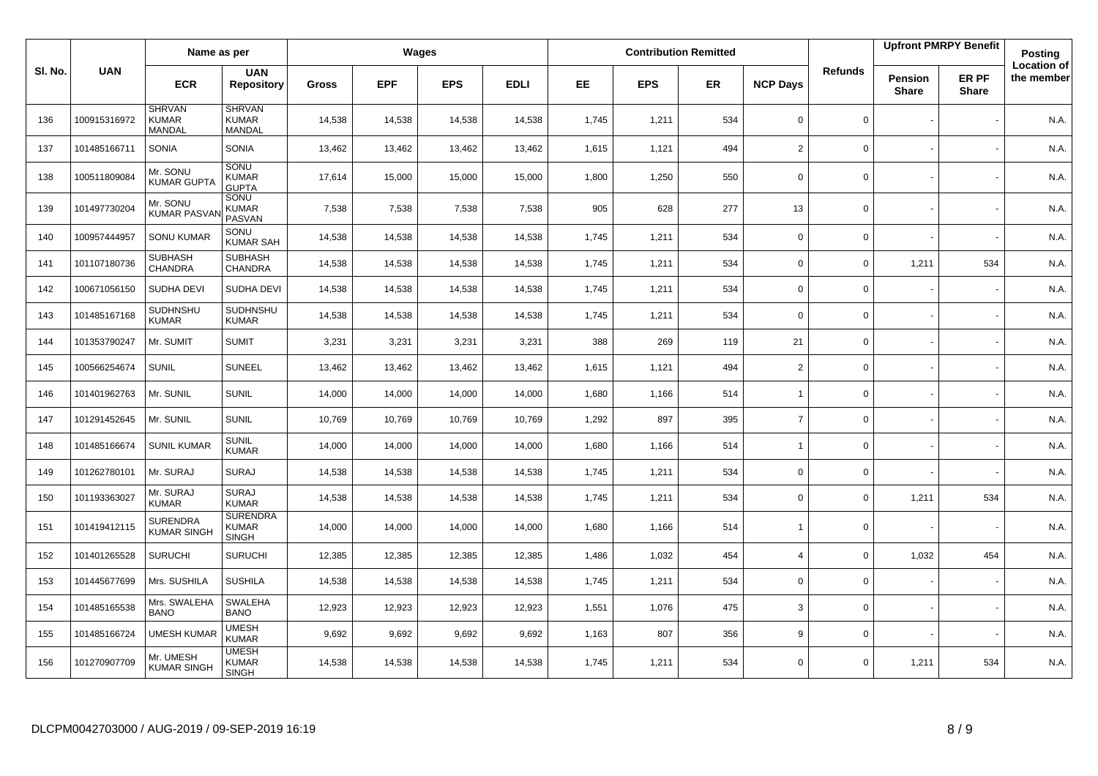|        |              | Name as per                             |                                                 |              |            | Wages      |             |           |            | <b>Contribution Remitted</b> |                 |                |                         | <b>Upfront PMRPY Benefit</b> | Posting                          |
|--------|--------------|-----------------------------------------|-------------------------------------------------|--------------|------------|------------|-------------|-----------|------------|------------------------------|-----------------|----------------|-------------------------|------------------------------|----------------------------------|
| SI. No | <b>UAN</b>   | <b>ECR</b>                              | <b>UAN</b><br><b>Repository</b>                 | <b>Gross</b> | <b>EPF</b> | <b>EPS</b> | <b>EDLI</b> | <b>EE</b> | <b>EPS</b> | <b>ER</b>                    | <b>NCP Days</b> | <b>Refunds</b> | Pension<br><b>Share</b> | ER PF<br><b>Share</b>        | <b>Location of</b><br>the member |
| 136    | 100915316972 | <b>SHRVAN</b><br><b>KUMAR</b><br>MANDAL | <b>SHRVAN</b><br><b>KUMAR</b><br>MANDAL         | 14,538       | 14,538     | 14,538     | 14,538      | 1,745     | 1,211      | 534                          | $\mathbf 0$     | 0              |                         |                              | N.A.                             |
| 137    | 101485166711 | SONIA                                   | <b>SONIA</b>                                    | 13,462       | 13,462     | 13,462     | 13,462      | 1,615     | 1,121      | 494                          | $\overline{2}$  | $\mathbf 0$    |                         |                              | N.A.                             |
| 138    | 100511809084 | Mr. SONU<br><b>KUMAR GUPTA</b>          | SONU<br><b>KUMAR</b><br><b>GUPTA</b>            | 17,614       | 15,000     | 15,000     | 15,000      | 1,800     | 1,250      | 550                          | $\mathbf 0$     | $\Omega$       |                         |                              | N.A.                             |
| 139    | 101497730204 | Mr. SONU<br><b>KUMAR PASVA</b>          | SONU<br><b>KUMAR</b><br>PASVAN                  | 7,538        | 7,538      | 7,538      | 7,538       | 905       | 628        | 277                          | 13              | 0              |                         |                              | N.A.                             |
| 140    | 100957444957 | <b>SONU KUMAR</b>                       | SONU<br><b>KUMAR SAH</b>                        | 14,538       | 14,538     | 14,538     | 14,538      | 1,745     | 1,211      | 534                          | $\mathbf 0$     | 0              |                         |                              | N.A.                             |
| 141    | 101107180736 | <b>SUBHASH</b><br><b>CHANDRA</b>        | <b>SUBHASH</b><br><b>CHANDRA</b>                | 14,538       | 14,538     | 14,538     | 14,538      | 1,745     | 1,211      | 534                          | $\mathbf 0$     | $\Omega$       | 1,211                   | 534                          | N.A.                             |
| 142    | 100671056150 | SUDHA DEVI                              | SUDHA DEVI                                      | 14,538       | 14,538     | 14,538     | 14,538      | 1,745     | 1,211      | 534                          | $\mathbf 0$     | 0              |                         |                              | N.A.                             |
| 143    | 101485167168 | SUDHNSHU<br><b>KUMAR</b>                | SUDHNSHU<br><b>KUMAR</b>                        | 14,538       | 14,538     | 14,538     | 14,538      | 1,745     | 1,211      | 534                          | $\mathbf 0$     | 0              |                         |                              | N.A.                             |
| 144    | 101353790247 | Mr. SUMIT                               | <b>SUMIT</b>                                    | 3,231        | 3,231      | 3,231      | 3,231       | 388       | 269        | 119                          | 21              | 0              |                         |                              | N.A.                             |
| 145    | 100566254674 | <b>SUNIL</b>                            | <b>SUNEEL</b>                                   | 13,462       | 13,462     | 13,462     | 13,462      | 1,615     | 1,121      | 494                          | 2               | 0              |                         |                              | N.A.                             |
| 146    | 101401962763 | Mr. SUNIL                               | <b>SUNIL</b>                                    | 14,000       | 14,000     | 14,000     | 14,000      | 1,680     | 1,166      | 514                          | $\overline{1}$  | 0              |                         |                              | N.A.                             |
| 147    | 101291452645 | Mr. SUNIL                               | <b>SUNIL</b>                                    | 10,769       | 10,769     | 10,769     | 10,769      | 1,292     | 897        | 395                          | $\overline{7}$  | $\mathbf{0}$   |                         |                              | N.A.                             |
| 148    | 101485166674 | <b>SUNIL KUMAR</b>                      | <b>SUNIL</b><br><b>KUMAR</b>                    | 14,000       | 14,000     | 14,000     | 14,000      | 1,680     | 1,166      | 514                          | $\overline{1}$  | 0              |                         |                              | N.A.                             |
| 149    | 101262780101 | Mr. SURAJ                               | <b>SURAJ</b>                                    | 14,538       | 14,538     | 14,538     | 14,538      | 1,745     | 1,211      | 534                          | $\mathbf 0$     | $\mathbf{0}$   |                         |                              | N.A.                             |
| 150    | 101193363027 | Mr. SURAJ<br><b>KUMAR</b>               | <b>SURAJ</b><br><b>KUMAR</b>                    | 14,538       | 14,538     | 14,538     | 14,538      | 1,745     | 1,211      | 534                          | $\Omega$        | 0              | 1,211                   | 534                          | N.A.                             |
| 151    | 101419412115 | <b>SURENDRA</b><br><b>KUMAR SINGH</b>   | <b>SURENDRA</b><br><b>KUMAR</b><br><b>SINGH</b> | 14,000       | 14,000     | 14,000     | 14,000      | 1,680     | 1,166      | 514                          | $\overline{1}$  | $\mathbf{0}$   |                         |                              | N.A.                             |
| 152    | 101401265528 | <b>SURUCHI</b>                          | <b>SURUCHI</b>                                  | 12,385       | 12,385     | 12,385     | 12,385      | 1,486     | 1,032      | 454                          | $\overline{4}$  | 0              | 1,032                   | 454                          | N.A.                             |
| 153    | 101445677699 | Mrs. SUSHILA                            | <b>SUSHILA</b>                                  | 14,538       | 14,538     | 14,538     | 14,538      | 1,745     | 1,211      | 534                          | $\mathbf 0$     | 0              |                         |                              | N.A.                             |
| 154    | 101485165538 | Mrs. SWALEHA<br><b>BANO</b>             | SWALEHA<br><b>BANO</b>                          | 12,923       | 12,923     | 12,923     | 12,923      | 1,551     | 1,076      | 475                          | 3               | 0              |                         |                              | N.A.                             |
| 155    | 101485166724 | <b>UMESH KUMAR</b>                      | <b>UMESH</b><br><b>KUMAR</b>                    | 9,692        | 9,692      | 9,692      | 9,692       | 1,163     | 807        | 356                          | 9               | 0              |                         |                              | N.A.                             |
| 156    | 101270907709 | Mr. UMESH<br><b>KUMAR SINGH</b>         | <b>UMESH</b><br><b>KUMAR</b><br><b>SINGH</b>    | 14,538       | 14,538     | 14,538     | 14,538      | 1,745     | 1,211      | 534                          | $\Omega$        | $\mathbf{0}$   | 1,211                   | 534                          | N.A.                             |